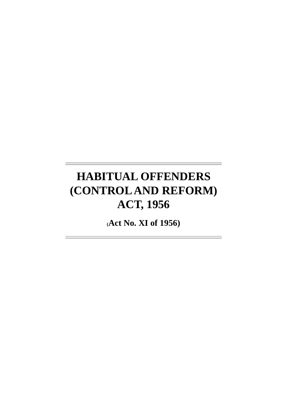# **HABITUAL OFFENDERS (CONTROL AND REFORM) ACT, 1956**

**(Act No. XI of 1956)**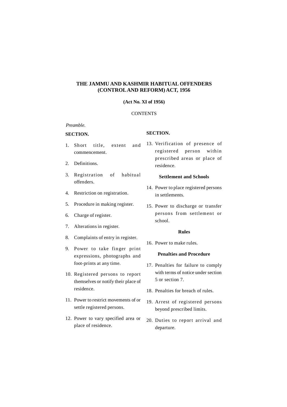## **THE JAMMU AND KASHMIR HABITUAL OFFENDERS (CONTROL AND REFORM) ACT, 1956**

## **(Act No. XI of 1956)**

## **CONTENTS**

## *Preamble.*

### **SECTION.**

## **SECTION.**

- 1. Short title, extent and commencement.
- 2. Definitions.
- 3. Registration of habitual offenders.
- 4. Restriction on registration.
- 5. Procedure in making register.
- 6. Charge of register.
- 7. Alterations in register.
- 8. Complaints of entry in register.
- 9. Power to take finger print expressions, photographs and foot-prints at any time.
- 10. Registered persons to report themselves or notify their place of residence.
- 11. Power to restrict movements of or settle registered persons.
- 12. Power to vary specified area or place of residence.

13. Verification of presence of registered person within prescribed areas or place of residence.

#### **Settlement and Schools**

- 14. Power to place registered persons in settlements.
- 15. Power to discharge or transfer persons from settlement or school.

#### **Rules**

16. Power to make rules.

#### **Penalties and Procedure**

- 17. Penalties for failure to comply with terms of notice under section 5 or section 7.
- 18. Penalties for breach of rules.
- 19. Arrest of registered persons beyond prescribed limits.
- 20. Duties to report arrival and departure.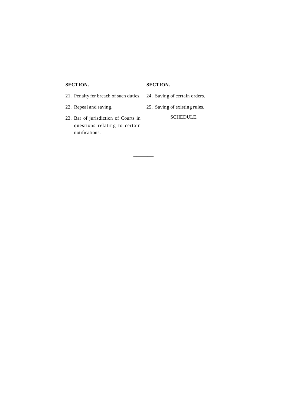## **SECTION.**

## **SECTION.**

–––––––

- 21. Penalty for breach of such duties.
- 22. Repeal and saving.
- 23. Bar of jurisdiction of Courts in questions relating to certain notifications.
- 24. Saving of certain orders.
- 25. Saving of existing rules.

SCHEDULE.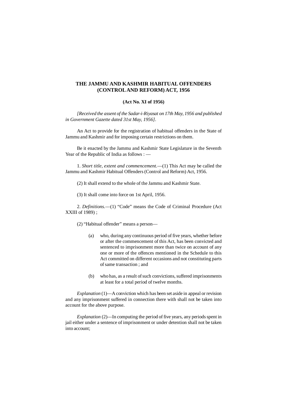## **THE JAMMU AND KASHMIR HABITUAL OFFENDERS (CONTROL AND REFORM) ACT, 1956**

#### **(Act No. XI of 1956)**

*[Received the assent of the Sadar-i-Riyasat on 17th May, 1956 and published in Government Gazette dated 31st May, 1956].*

An Act to provide for the registration of habitual offenders in the State of Jammu and Kashmir and for imposing certain restrictions on them.

Be it enacted by the Jammu and Kashmir State Legislature in the Seventh Year of the Republic of India as follows : —

1. *Short title, extent and commencement.––*(1) This Act may be called the Jammu and Kashmir Habitual Offenders (Control and Reform) Act, 1956.

(2) It shall extend to the whole of the Jammu and Kashmir State.

(3) It shall come into force on 1st April, 1956.

2. *Definitions.––*(1) "Code" means the Code of Criminal Procedure (Act XXIII of 1989) ;

(2) "Habitual offender" means a person—

- (a) who, during any continuous period of five years, whether before or after the commencement of this Act, has been convicted and sentenced to imprisonment more than twice on account of any one or more of the offences mentioned in the Schedule to this Act committed on different occasions and not constituting parts of same transaction ; and
- (b) who has, as a result of such convictions, suffered imprisonments at least for a total period of twelve months.

*Explanation* (1)—A conviction which has been set aside in appeal or revision and any imprisonment suffered in connection there with shall not be taken into account for the above purpose.

*Explanation* (2)*––*In computing the period of five years, any periods spent in jail either under a sentence of imprisonment or under detention shall not be taken into account;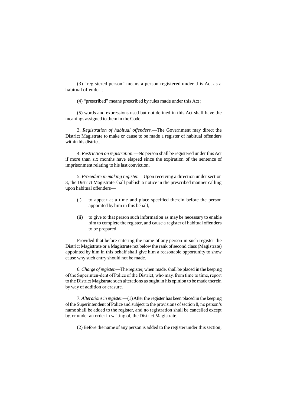(3) "registered person" means a person registered under this Act as a habitual offender ;

(4) "prescribed" means prescribed by rules made under this Act ;

(5) words and expressions used but not defined in this Act shall have the meanings assigned to them in the Code.

3. *Registration of habitual offenders.––*The Government may direct the District Magistrate to make or cause to be made a register of habitual offenders within his district.

4. *Restriction on registration.––*No person shall be registered under this Act if more than six months have elapsed since the expiration of the sentence of imprisonment relating to his last conviction.

5. *Procedure in making register.––*Upon receiving a direction under section 3, the District Magistrate shall publish a notice in the prescribed manner calling upon habitual offenders––

- (i) to appear at a time and place specified therein before the person appointed by him in this behalf,
- (ii) to give to that person such information as may be necessary to enable him to complete the register, and cause a register of habitual offenders to be prepared :

Provided that before entering the name of any person in such register the District Magistrate or a Magistrate not below the rank of second class (Magistrate) appointed by him in this behalf shall give him a reasonable opportunity to show cause why such entry should not be made.

6. *Charge of register.*––The register, when made, shall be placed in the keeping of the Superinten-dent of Police of the District, who may, from time to time, report to the District Magistrate such alterations as ought in his opinion to be made therein by way of addition or erasure.

7. *Alterations in register.––*(1) After the register has been placed in the keeping of the Superintendent of Police and subject to the provisions of section 8, no person's name shall be added to the register, and no registration shall be cancelled except by, or under an order in writing of, the District Magistrate.

(2) Before the name of any person is added to the register under this section,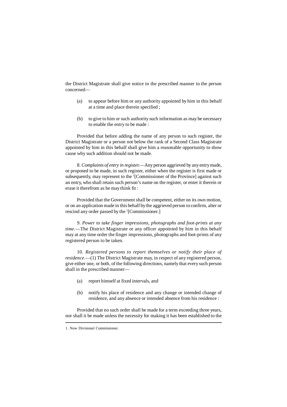the District Magistrate shall give notice in the prescribed manner to the person concerned––

- (a) to appear before him or any authority appointed by him in this behalf at a time and place therein specified ;
- (b) to give to him or such authority such information as may be necessary to enable the entry to be made :

Provided that before adding the name of any person to such register, the District Magistrate or a person not below the rank of a Second Class Magistrate appointed by him in this behalf shall give him a reasonable opportunity to show cause why such addition should not be made.

8. *Complaints of entry in register.––*Any person aggrieved by any entry made, or proposed to be made, in such register, either when the register is first made or subsequently, may represent to the <sup>1</sup>[Commissioner of the Province] against such an entry, who shall retain such person's name on the register, or enter it therein or erase it therefrom as he may think fit :

Provided that the Government shall be competent, either on its own motion, or on an application made in this behalf by the aggrieved person to confirm, alter or rescind any order passed by the <sup>1</sup>[Commissioner.]

9. *Power to take finger impressions, photographs and foot-prints at any time.––*The District Magistrate or any officer appointed by him in this behalf may at any time order the finger impressions, photographs and foot-prints of any registered person to be taken.

10. *Registered persons to report themselves or notify their place of residence.––*(1) The District Magistrate may, in respect of any registered person, give either one, or both, of the following directions, namely that every such person shall in the prescribed manner––

- (a) report himself at fixed intervals, and
- (b) notify his place of residence and any change or intended change of residence, and any absence or intended absence from his residence :

Provided that no such order shall be made for a term exceeding three years, nor shall it be made unless the necessity for making it has been established to the

<sup>1.</sup> Now Divisional Commissioner.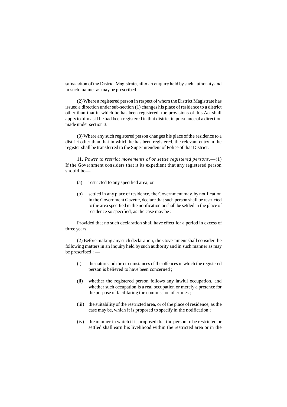satisfaction of the District Magistrate, after an enquiry held by such author-ity and in such manner as may be prescribed.

(2) Where a registered person in respect of whom the District Magistrate has issued a direction under sub-section (1) changes his place of residence to a district other than that in which he has been registered, the provisions of this Act shall apply to him as if he had been registered in that district in pursuance of a direction made under section 3.

(3) Where any such registered person changes his place of the residence to a district other than that in which he has been registered, the relevant entry in the register shall be transferred to the Superintendent of Police of that District.

11. *Power to restrict movements of or settle registered persons.*––(1) If the Government considers that it its expedient that any registered person should be––

- (a) restricted to any specified area, or
- (b) settled in any place of residence, the Government may, by notification in the Government Gazette, declare that such person shall be restricted to the area specified in the notification or shall be settled in the place of residence so specified, as the case may be :

Provided that no such declaration shall have effect for a period in excess of three years.

(2) Before making any such declaration, the Government shall consider the following matters in an inquiry held by such authority and in such manner as may be prescribed : ––

- (i) the nature and the circumstances of the offences in which the registered person is believed to have been concerned ;
- (ii) whether the registered person follows any lawful occupation, and whether such occupation is a real occupation or merely a pretence for the purpose of facilitating the commission of crimes ;
- (iii) the suitability of the restricted area, or of the place of residence, as the case may be, which it is proposed to specify in the notification ;
- (iv) the manner in which it is proposed that the person to be restricted or settled shall earn his livelihood within the restricted area or in the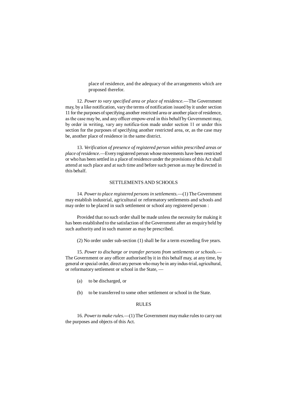place of residence, and the adequacy of the arrangements which are proposed therefor.

12. *Power to vary specified area or place of residence.––*The Government may, by a like notification, vary the terms of notification issued by it under section 11 for the purposes of specifying another restricted area or another place of residence, as the case may be, and any officer empow-ered in this behalf by Government may, by order in writing, vary any notifica-tion made under section 11 or under this section for the purposes of specifying another restricted area, or, as the case may be, another place of residence in the same district.

13. *Verification of presence of registered person within prescribed areas or place of residence.––*Every registered person whose movements have been restricted or who has been settled in a place of residence under the provisions of this Act shall attend at such place and at such time and before such person as may be directed in this behalf.

## SETTLEMENTS AND SCHOOLS

14. *Power to place registered persons in settlements.––*(1) The Government may establish industrial, agricultural or reformatory settlements and schools and may order to be placed in such settlement or school any registered person :

Provided that no such order shall be made unless the necessity for making it has been established to the satisfaction of the Government after an enquiry held by such authority and in such manner as may be prescribed.

(2) No order under sub-section (1) shall be for a term exceeding five years.

15. *Power to discharge or transfer persons from settlements or schools.––* The Government or any officer authorised by it in this behalf may, at any time, by general or special order, direct any person who may be in any indus-trial, agricultural, or reformatory settlement or school in the State, ––

- (a) to be discharged, or
- (b) to be transferred to some other settlement or school in the State.

#### RULES

16. *Power to make rules.––*(1) The Government may make rules to carry out the purposes and objects of this Act.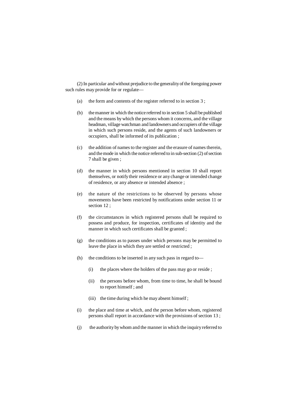(2) In particular and without prejudice to the generality of the foregoing power such rules may provide for or regulate––

- (a) the form and contents of the register referred to in section 3 ;
- (b) the manner in which the notice referred to in section 5 shall be published and the means by which the persons whom it concerns, and the village headman, village watchman and landowners and occupiers of the village in which such persons reside, and the agents of such landowners or occupiers, shall be informed of its publication ;
- (c) the addition of names to the register and the erasure of names therein, and the mode in which the notice referred to in sub-section (2) of section 7 shall be given ;
- (d) the manner in which persons mentioned in section 10 shall report themselves, or notify their residence or any change or intended change of residence, or any absence or intended absence ;
- (e) the nature of the restrictions to be observed by persons whose movements have been restricted by notifications under section 11 or section 12 ;
- (f) the circumstances in which registered persons shall be required to possess and produce, for inspection, certificates of identity and the manner in which such certificates shall be granted ;
- (g) the conditions as to passes under which persons may be permitted to leave the place in which they are settled or restricted ;
- (h) the conditions to be inserted in any such pass in regard to—
	- (i) the places where the holders of the pass may go or reside ;
	- (ii) the persons before whom, from time to time, he shall be bound to report himself ; and
	- (iii) the time during which he may absent himself;
- (i) the place and time at which, and the person before whom, registered persons shall report in accordance with the provisions of section 13 ;
- (j) the authority by whom and the manner in which the inquiry referred to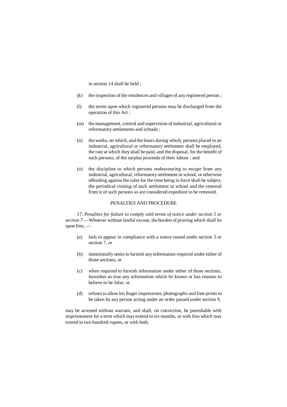in section 14 shall be held ;

- (k) the inspection of the residences and villages of any registered person ;
- (l) the terms upon which registered persons may be discharged from the operation of this Act ;
- (m) the management, control and supervision of industrial, agricultural or reformatory settlements and schools ;
- (n) the works, on which, and the hours during which, persons placed in an industrial, agricultural or reformatory settlement shall be employed, the rate at which they shall be paid, and the disposal, for the benefit of such persons, of the surplus proceeds of their labour ; and
- (o) the discipline to which persons endeavouring to escape from any industrial, agricultural, reformatory settlement or school, or otherwise offending against the rules for the time being in force shall be subject, the periodical visiting of such settlement or school and the removal from it of such persons as are considered expedient to be removed.

#### PENALTIES AND PROCEDURE

17. *Penalties for failure to comply with terms of notice under section 5 or section 7.––*Whoever without lawful excuse, the burden of proving which shall lie upon him, ––

- (a) fails to appear in compliance with a notice issued under section 5 or section 7, or
- (b) intentionally omits to furnish any information required under either of those sections, or
- (c) when required to furnish information under either of those sections, furnishes as true any information which he knows or has reasons to believe to be false, or
- (d) refuses to allow his finger impressions, photographs and foot-prints to be taken by any person acting under an order passed under section 9,

may be arrested without warrant, and shall, on conviction, be punishable with imprisonment for a term which may extend to six months, or with fine which may extend to two hundred rupees, or with both.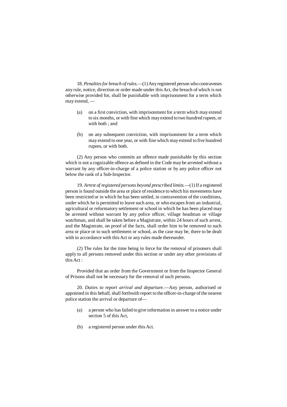18. *Penalties for breach of rules.––*(1) Any registered person who contravenes any rule, notice, direction or order made under this Act, the breach of which is not otherwise provided for, shall be punishable with imprisonment for a term which may extend, ––

- (a) on a first conviction, with imprisonment for a term which may extend to six months, or with fine which may extend to two hundred rupees, or with both ; and
- (b) on any subsequent conviction, with imprisonment for a term which may extend to one year, or with fine which may extend to five hundred rupees, or with both.

(2) Any person who commits an offence made punishable by this section which is not a cognizable offence as defined in the Code may be arrested without a warrant by any officer-in-charge of a police station or by any police officer not below the rank of a Sub-Inspector.

19. *Arrest of registered persons beyond prescribed limits.––*(1) If a registered person is found outside the area or place of residence to which his movements have been restricted or in which he has been settled, in contravention of the conditions, under which he is permitted to leave such area, or who escapes from an industrial, agricultural or reformatory settlement or school in which he has been placed may be arrested without warrant by any police officer, village headman or village watchman, and shall be taken before a Magistrate, within 24 hours of such arrest, and the Magistrate, on proof of the facts, shall order him to be removed to such area or place or to such settlement or school, as the case may be, there to be dealt with in accordance with this Act or any rules made thereunder.

(2) The rules for the time being in force for the removal of prisoners shall apply to all persons removed under this section or under any other provisions of this Act :

Provided that an order from the Government or from the Inspector General of Prisons shall not be necessary for the removal of such persons.

20. *Duties to report arrival and departure.––*Any person, authorised or appointed in this behalf, shall forthwith report to the officer-in-charge of the nearest police station the arrival or departure of––

- (a) a person who has failed to give information in answer to a notice under section 5 of this Act,
- (b) a registered person under this Act.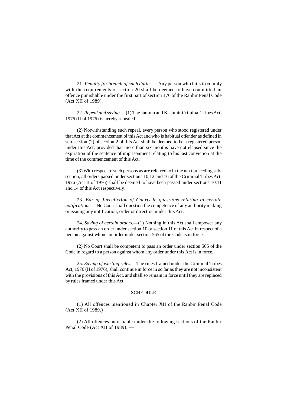21. *Penalty for breach of such duties.––*Any person who fails to comply with the requirements of section 20 shall be deemed to have committed an offence punishable under the first part of section 176 of the Ranbir Penal Code (Act XII of 1989).

22. *Repeal and saving.––*(1) The Jammu and Kashmir Criminal Tribes Act, 1976 (II of 1976) is hereby repealed.

(2) Notwithstanding such repeal, every person who stood registered under that Act at the commencement of this Act and who is habitual offender as defined in sub-section (2) of section 2 of this Act shall be deemed to be a registered person under this Act; provided that more than six months have not elapsed since the expiration of the sentence of imprisonment relating to his last conviction at the time of the commencement of this Act.

(3) With respect to such persons as are referred to in the next preceding subsection, all orders passed under sections 10,12 and 16 of the Criminal Tribes Act, 1976 (Act II of 1976) shall be deemed to have been passed under sections 10,11 and 14 of this Act respectively.

23. *Bar of Jurisdiction of Courts in questions relating to certain notifications.––*No Court shall question the competence of any authority making or issuing any notification, order or direction under this Act.

24. *Saving of certain orders.––*(1) Nothing in this Act shall empower any authority to pass an order under section 10 or section 11 of this Act in respect of a person against whom an order under section 565 of the Code is in force.

(2) No Court shall be competent to pass an order under section 565 of the Code in regard to a person against whom any order under this Act is in force.

25. *Saving of existing rules.––*The rules framed under the Criminal Tribes Act, 1976 (II of 1976), shall continue in force in so far as they are not inconsistent with the provisions of this Act, and shall so remain in force until they are replaced by rules framed under this Act.

#### **SCHEDULE**

(1) All offences mentioned in Chapter XII of the Ranbir Penal Code (Act XII of 1989.)

(2) All offences punishable under the following sections of the Ranbir Penal Code (Act XII of 1989): -